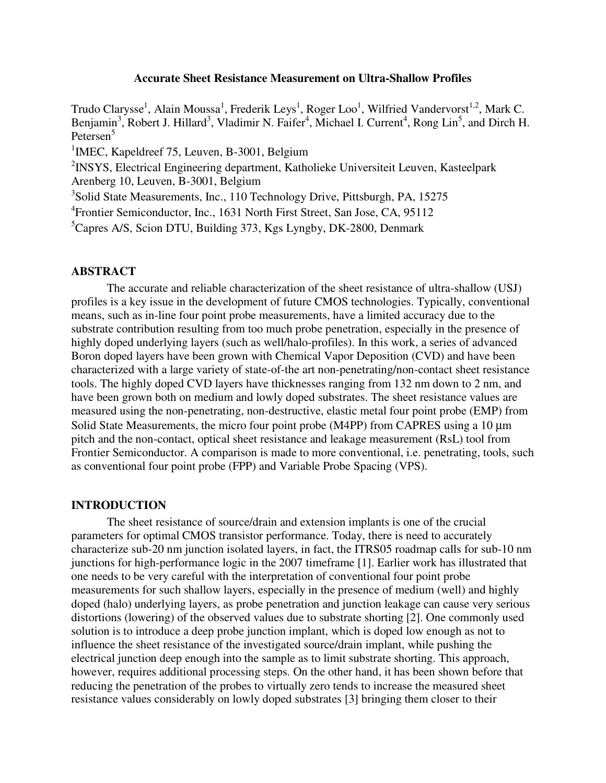### **Accurate Sheet Resistance Measurement on Ultra-Shallow Profiles**

Trudo Clarysse<sup>1</sup>, Alain Moussa<sup>1</sup>, Frederik Leys<sup>1</sup>, Roger Loo<sup>1</sup>, Wilfried Vandervorst<sup>1,2</sup>, Mark C. Benjamin<sup>3</sup>, Robert J. Hillard<sup>3</sup>, Vladimir N. Faifer<sup>4</sup>, Michael I. Current<sup>4</sup>, Rong Lin<sup>5</sup>, and Dirch H. Petersen<sup>5</sup>

<sup>1</sup>IMEC, Kapeldreef 75, Leuven, B-3001, Belgium

 $2$ INSYS, Electrical Engineering department, Katholieke Universiteit Leuven, Kasteelpark Arenberg 10, Leuven, B-3001, Belgium

<sup>3</sup>Solid State Measurements, Inc., 110 Technology Drive, Pittsburgh, PA, 15275

4 Frontier Semiconductor, Inc., 1631 North First Street, San Jose, CA, 95112

<sup>5</sup>Capres A/S, Scion DTU, Building 373, Kgs Lyngby, DK-2800, Denmark

### **ABSTRACT**

The accurate and reliable characterization of the sheet resistance of ultra-shallow (USJ) profiles is a key issue in the development of future CMOS technologies. Typically, conventional means, such as in-line four point probe measurements, have a limited accuracy due to the substrate contribution resulting from too much probe penetration, especially in the presence of highly doped underlying layers (such as well/halo-profiles). In this work, a series of advanced Boron doped layers have been grown with Chemical Vapor Deposition (CVD) and have been characterized with a large variety of state-of-the art non-penetrating/non-contact sheet resistance tools. The highly doped CVD layers have thicknesses ranging from 132 nm down to 2 nm, and have been grown both on medium and lowly doped substrates. The sheet resistance values are measured using the non-penetrating, non-destructive, elastic metal four point probe (EMP) from Solid State Measurements, the micro four point probe (M4PP) from CAPRES using a 10 um pitch and the non-contact, optical sheet resistance and leakage measurement (RsL) tool from Frontier Semiconductor. A comparison is made to more conventional, i.e. penetrating, tools, such as conventional four point probe (FPP) and Variable Probe Spacing (VPS).

# **INTRODUCTION**

The sheet resistance of source/drain and extension implants is one of the crucial parameters for optimal CMOS transistor performance. Today, there is need to accurately characterize sub-20 nm junction isolated layers, in fact, the ITRS05 roadmap calls for sub-10 nm junctions for high-performance logic in the 2007 timeframe [1]. Earlier work has illustrated that one needs to be very careful with the interpretation of conventional four point probe measurements for such shallow layers, especially in the presence of medium (well) and highly doped (halo) underlying layers, as probe penetration and junction leakage can cause very serious distortions (lowering) of the observed values due to substrate shorting [2]. One commonly used solution is to introduce a deep probe junction implant, which is doped low enough as not to influence the sheet resistance of the investigated source/drain implant, while pushing the electrical junction deep enough into the sample as to limit substrate shorting. This approach, however, requires additional processing steps. On the other hand, it has been shown before that reducing the penetration of the probes to virtually zero tends to increase the measured sheet resistance values considerably on lowly doped substrates [3] bringing them closer to their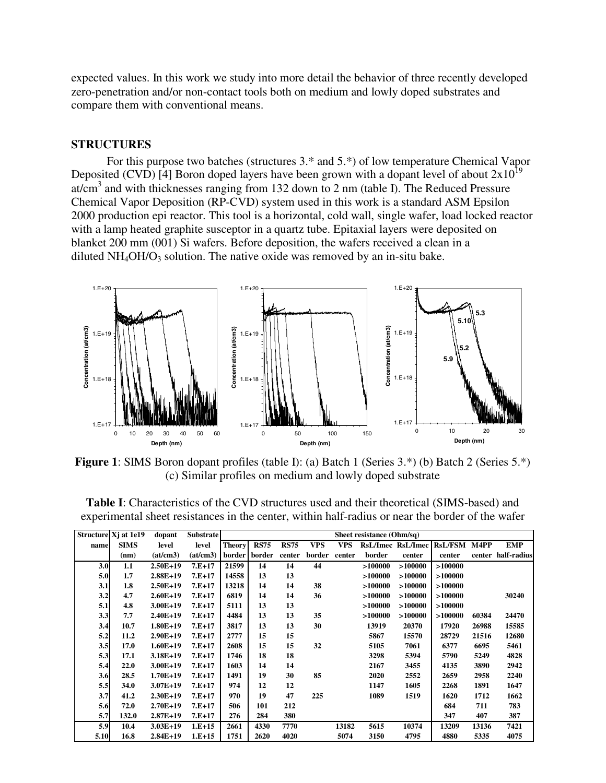expected values. In this work we study into more detail the behavior of three recently developed zero-penetration and/or non-contact tools both on medium and lowly doped substrates and compare them with conventional means.

#### **STRUCTURES**

For this purpose two batches (structures 3.\* and 5.\*) of low temperature Chemical Vapor Deposited (CVD) [4] Boron doped layers have been grown with a dopant level of about  $2x10^{19}$ at/cm<sup>3</sup> and with thicknesses ranging from 132 down to 2 nm (table I). The Reduced Pressure Chemical Vapor Deposition (RP-CVD) system used in this work is a standard ASM Epsilon 2000 production epi reactor. This tool is a horizontal, cold wall, single wafer, load locked reactor with a lamp heated graphite susceptor in a quartz tube. Epitaxial layers were deposited on blanket 200 mm (001) Si wafers. Before deposition, the wafers received a clean in a diluted  $NH_4OH/O_3$  solution. The native oxide was removed by an in-situ bake.



**Figure 1**: SIMS Boron dopant profiles (table I): (a) Batch 1 (Series 3.\*) (b) Batch 2 (Series 5.\*) (c) Similar profiles on medium and lowly doped substrate

|      | Structure Xj at 1e19 | dopant     | <b>Substrate</b> | Sheet resistance (Ohm/sq) |             |             |            |            |         |                   |              |        |             |
|------|----------------------|------------|------------------|---------------------------|-------------|-------------|------------|------------|---------|-------------------|--------------|--------|-------------|
| name | <b>SIMS</b>          | level      | level            | <b>Theory</b>             | <b>RS75</b> | <b>RS75</b> | <b>VPS</b> | <b>VPS</b> |         | RsL/Imec RsL/Imec | RsL/FSM M4PP |        | <b>EMP</b>  |
|      | (nm)                 | (at/cm3)   | (at/cm3)         | border                    | border      | center      | border     | center     | border  | center            | center       | center | half-radius |
| 3.0  | 1.1                  | $2.50E+19$ | $7.E+17$         | 21599                     | 14          | 14          | 44         |            | >100000 | >100000           | >100000      |        |             |
| 5.0  | 1.7                  | $2.88E+19$ | $7.E+17$         | 14558                     | 13          | 13          |            |            | >100000 | >100000           | >100000      |        |             |
| 3.1  | 1.8                  | $2.50E+19$ | $7.E+17$         | 13218                     | 14          | 14          | 38         |            | >100000 | >100000           | >100000      |        |             |
| 3.2  | 4.7                  | $2.60E+19$ | $7.E+17$         | 6819                      | 14          | 14          | 36         |            | >100000 | >100000           | >100000      |        | 30240       |
| 5.1  | 4.8                  | $3.00E+19$ | $7.E+17$         | 5111                      | 13          | 13          |            |            | >100000 | >100000           | >100000      |        |             |
| 3.3  | 7.7                  | $2.40E+19$ | $7.E+17$         | 4484                      | 13          | 13          | 35         |            | >100000 | >100000           | >100000      | 60384  | 24470       |
| 3.4  | 10.7                 | 1.80E+19   | $7.E+17$         | 3817                      | 13          | 13          | 30         |            | 13919   | 20370             | 17920        | 26988  | 15585       |
| 5.2  | 11.2                 | $2.90E+19$ | $7.E+17$         | 2777                      | 15          | 15          |            |            | 5867    | 15570             | 28729        | 21516  | 12680       |
| 3.5  | 17.0                 | $1.60E+19$ | $7.E+17$         | 2608                      | 15          | 15          | 32         |            | 5105    | 7061              | 6377         | 6695   | 5461        |
| 5.3  | 17.1                 | $3.18E+19$ | $7.E+17$         | 1746                      | 18          | 18          |            |            | 3298    | 5394              | 5790         | 5249   | 4828        |
| 5.4  | 22.0                 | $3.00E+19$ | $7.E+17$         | 1603                      | 14          | 14          |            |            | 2167    | 3455              | 4135         | 3890   | 2942        |
| 3.6  | 28.5                 | $1.70E+19$ | $7.E+17$         | 1491                      | 19          | 30          | 85         |            | 2020    | 2552              | 2659         | 2958   | 2240        |
| 5.5  | 34.0                 | $3.07E+19$ | $7.E+17$         | 974                       | 12          | 12          |            |            | 1147    | 1605              | 2268         | 1891   | 1647        |
| 3.7  | 41.2                 | $2.30E+19$ | $7.E+17$         | 970                       | 19          | 47          | 225        |            | 1089    | 1519              | 1620         | 1712   | 1662        |
| 5.6  | 72.0                 | $2.70E+19$ | $7.E+17$         | 506                       | 101         | 212         |            |            |         |                   | 684          | 711    | 783         |
| 5.7  | 132.0                | $2.87E+19$ | $7.E+17$         | 276                       | 284         | 380         |            |            |         |                   | 347          | 407    | 387         |
| 5.9  | 10.4                 | $3.03E+19$ | $1.E+15$         | 2661                      | 4330        | 7770        |            | 13182      | 5615    | 10374             | 13209        | 13136  | 7421        |
| 5.10 | 16.8                 | $2.84E+19$ | $1.E+15$         | 1751                      | 2620        | 4020        |            | 5074       | 3150    | 4795              | 4880         | 5335   | 4075        |

**Table I**: Characteristics of the CVD structures used and their theoretical (SIMS-based) and experimental sheet resistances in the center, within half-radius or near the border of the wafer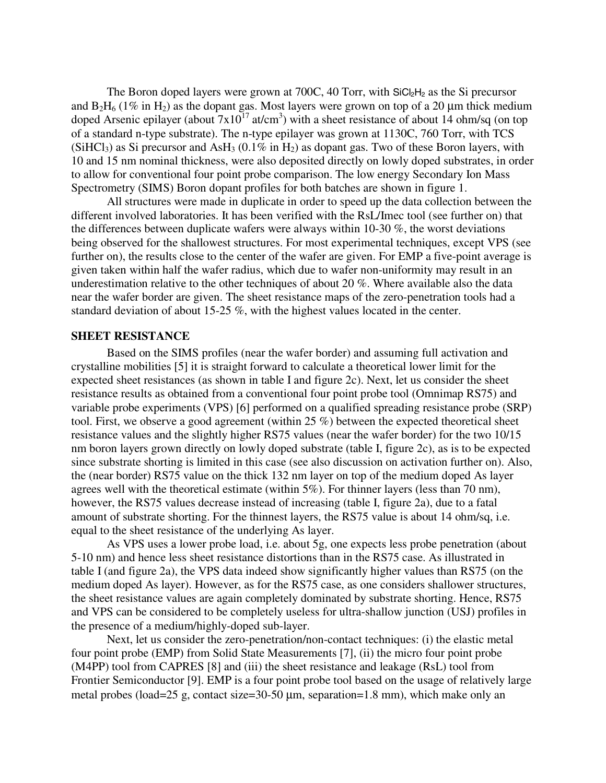The Boron doped layers were grown at 700C, 40 Torr, with  $SiCl<sub>2</sub>H<sub>2</sub>$  as the Si precursor and  $B_2H_6$  (1% in H<sub>2</sub>) as the dopant gas. Most layers were grown on top of a 20 µm thick medium doped Arsenic epilayer (about  $7x10^{17}$  at/cm<sup>3</sup>) with a sheet resistance of about 14 ohm/sq (on top of a standard n-type substrate). The n-type epilayer was grown at 1130C, 760 Torr, with TCS (SiHCl<sub>3</sub>) as Si precursor and AsH<sub>3</sub> (0.1% in H<sub>2</sub>) as dopant gas. Two of these Boron layers, with 10 and 15 nm nominal thickness, were also deposited directly on lowly doped substrates, in order to allow for conventional four point probe comparison. The low energy Secondary Ion Mass Spectrometry (SIMS) Boron dopant profiles for both batches are shown in figure 1.

All structures were made in duplicate in order to speed up the data collection between the different involved laboratories. It has been verified with the RsL/Imec tool (see further on) that the differences between duplicate wafers were always within 10-30 %, the worst deviations being observed for the shallowest structures. For most experimental techniques, except VPS (see further on), the results close to the center of the wafer are given. For EMP a five-point average is given taken within half the wafer radius, which due to wafer non-uniformity may result in an underestimation relative to the other techniques of about 20 %. Where available also the data near the wafer border are given. The sheet resistance maps of the zero-penetration tools had a standard deviation of about 15-25 %, with the highest values located in the center.

### **SHEET RESISTANCE**

Based on the SIMS profiles (near the wafer border) and assuming full activation and crystalline mobilities [5] it is straight forward to calculate a theoretical lower limit for the expected sheet resistances (as shown in table I and figure 2c). Next, let us consider the sheet resistance results as obtained from a conventional four point probe tool (Omnimap RS75) and variable probe experiments (VPS) [6] performed on a qualified spreading resistance probe (SRP) tool. First, we observe a good agreement (within 25 %) between the expected theoretical sheet resistance values and the slightly higher RS75 values (near the wafer border) for the two 10/15 nm boron layers grown directly on lowly doped substrate (table I, figure 2c), as is to be expected since substrate shorting is limited in this case (see also discussion on activation further on). Also, the (near border) RS75 value on the thick 132 nm layer on top of the medium doped As layer agrees well with the theoretical estimate (within 5%). For thinner layers (less than 70 nm), however, the RS75 values decrease instead of increasing (table I, figure 2a), due to a fatal amount of substrate shorting. For the thinnest layers, the RS75 value is about 14 ohm/sq, i.e. equal to the sheet resistance of the underlying As layer.

As VPS uses a lower probe load, i.e. about 5g, one expects less probe penetration (about 5-10 nm) and hence less sheet resistance distortions than in the RS75 case. As illustrated in table I (and figure 2a), the VPS data indeed show significantly higher values than RS75 (on the medium doped As layer). However, as for the RS75 case, as one considers shallower structures, the sheet resistance values are again completely dominated by substrate shorting. Hence, RS75 and VPS can be considered to be completely useless for ultra-shallow junction (USJ) profiles in the presence of a medium/highly-doped sub-layer.

Next, let us consider the zero-penetration/non-contact techniques: (i) the elastic metal four point probe (EMP) from Solid State Measurements [7], (ii) the micro four point probe (M4PP) tool from CAPRES [8] and (iii) the sheet resistance and leakage (RsL) tool from Frontier Semiconductor [9]. EMP is a four point probe tool based on the usage of relatively large metal probes (load=25 g, contact size=30-50 µm, separation=1.8 mm), which make only an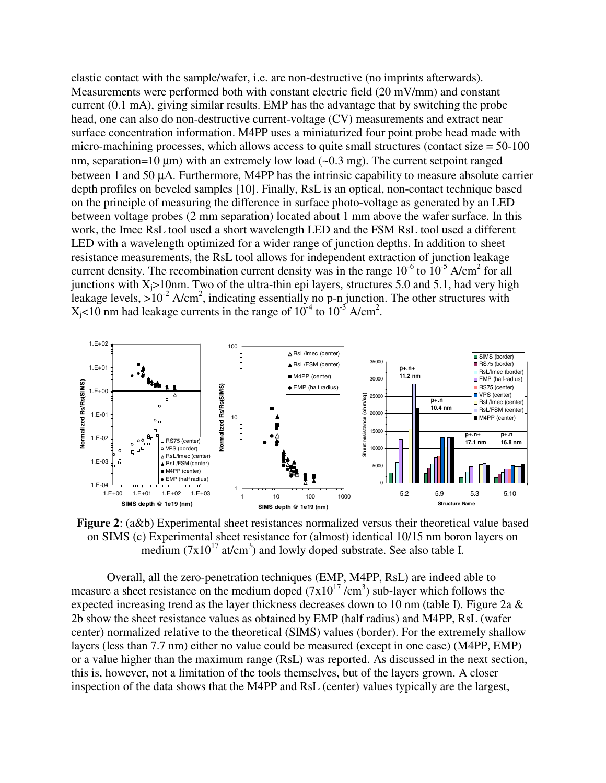elastic contact with the sample/wafer, i.e. are non-destructive (no imprints afterwards). Measurements were performed both with constant electric field (20 mV/mm) and constant current (0.1 mA), giving similar results. EMP has the advantage that by switching the probe head, one can also do non-destructive current-voltage (CV) measurements and extract near surface concentration information. M4PP uses a miniaturized four point probe head made with micro-machining processes, which allows access to quite small structures (contact size  $= 50-100$ ) nm, separation=10  $\mu$ m) with an extremely low load (~0.3 mg). The current setpoint ranged between 1 and 50 µA. Furthermore, M4PP has the intrinsic capability to measure absolute carrier depth profiles on beveled samples [10]. Finally, RsL is an optical, non-contact technique based on the principle of measuring the difference in surface photo-voltage as generated by an LED between voltage probes (2 mm separation) located about 1 mm above the wafer surface. In this work, the Imec RsL tool used a short wavelength LED and the FSM RsL tool used a different LED with a wavelength optimized for a wider range of junction depths. In addition to sheet resistance measurements, the RsL tool allows for independent extraction of junction leakage current density. The recombination current density was in the range  $10^{-6}$  to  $10^{-5}$  A/cm<sup>2</sup> for all junctions with  $X_i > 10$ nm. Two of the ultra-thin epi layers, structures 5.0 and 5.1, had very high leakage levels,  $>10^{-2}$  A/cm<sup>2</sup>, indicating essentially no p-n junction. The other structures with  $X_j$ <10 nm had leakage currents in the range of 10<sup>-4</sup> to 10<sup>-3</sup> A/cm<sup>2</sup>.



**Figure 2**: (a&b) Experimental sheet resistances normalized versus their theoretical value based on SIMS (c) Experimental sheet resistance for (almost) identical 10/15 nm boron layers on medium  $(7x10^{17}$  at/cm<sup>3</sup>) and lowly doped substrate. See also table I.

Overall, all the zero-penetration techniques (EMP, M4PP, RsL) are indeed able to measure a sheet resistance on the medium doped  $(7x10^{17}/cm^3)$  sub-layer which follows the expected increasing trend as the layer thickness decreases down to 10 nm (table I). Figure 2a  $\&$ 2b show the sheet resistance values as obtained by EMP (half radius) and M4PP, RsL (wafer center) normalized relative to the theoretical (SIMS) values (border). For the extremely shallow layers (less than 7.7 nm) either no value could be measured (except in one case) (M4PP, EMP) or a value higher than the maximum range (RsL) was reported. As discussed in the next section, this is, however, not a limitation of the tools themselves, but of the layers grown. A closer inspection of the data shows that the M4PP and RsL (center) values typically are the largest,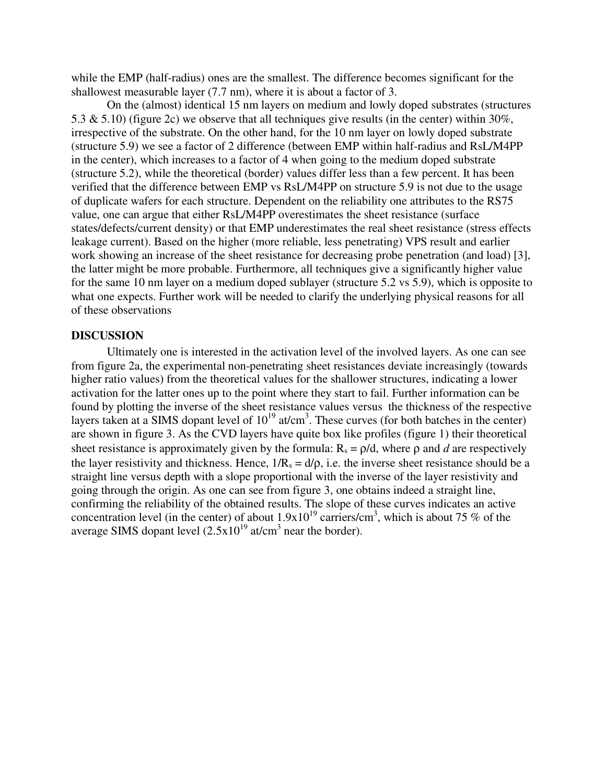while the EMP (half-radius) ones are the smallest. The difference becomes significant for the shallowest measurable layer (7.7 nm), where it is about a factor of 3.

On the (almost) identical 15 nm layers on medium and lowly doped substrates (structures 5.3 & 5.10) (figure 2c) we observe that all techniques give results (in the center) within 30%, irrespective of the substrate. On the other hand, for the 10 nm layer on lowly doped substrate (structure 5.9) we see a factor of 2 difference (between EMP within half-radius and RsL/M4PP in the center), which increases to a factor of 4 when going to the medium doped substrate (structure 5.2), while the theoretical (border) values differ less than a few percent. It has been verified that the difference between EMP vs RsL/M4PP on structure 5.9 is not due to the usage of duplicate wafers for each structure. Dependent on the reliability one attributes to the RS75 value, one can argue that either RsL/M4PP overestimates the sheet resistance (surface states/defects/current density) or that EMP underestimates the real sheet resistance (stress effects leakage current). Based on the higher (more reliable, less penetrating) VPS result and earlier work showing an increase of the sheet resistance for decreasing probe penetration (and load) [3], the latter might be more probable. Furthermore, all techniques give a significantly higher value for the same 10 nm layer on a medium doped sublayer (structure 5.2 vs 5.9), which is opposite to what one expects. Further work will be needed to clarify the underlying physical reasons for all of these observations

#### **DISCUSSION**

Ultimately one is interested in the activation level of the involved layers. As one can see from figure 2a, the experimental non-penetrating sheet resistances deviate increasingly (towards higher ratio values) from the theoretical values for the shallower structures, indicating a lower activation for the latter ones up to the point where they start to fail. Further information can be found by plotting the inverse of the sheet resistance values versus the thickness of the respective layers taken at a SIMS dopant level of  $10^{19}$  at/cm<sup>3</sup>. These curves (for both batches in the center) are shown in figure 3. As the CVD layers have quite box like profiles (figure 1) their theoretical sheet resistance is approximately given by the formula:  $R_s = \rho/d$ , where  $\rho$  and *d* are respectively the layer resistivity and thickness. Hence,  $1/R_s = d/\rho$ , i.e. the inverse sheet resistance should be a straight line versus depth with a slope proportional with the inverse of the layer resistivity and going through the origin. As one can see from figure 3, one obtains indeed a straight line, confirming the reliability of the obtained results. The slope of these curves indicates an active concentration level (in the center) of about  $1.9x10^{19}$  carriers/cm<sup>3</sup>, which is about 75 % of the average SIMS dopant level  $(2.5x10^{19} \text{ at/cm}^3 \text{ near the border})$ .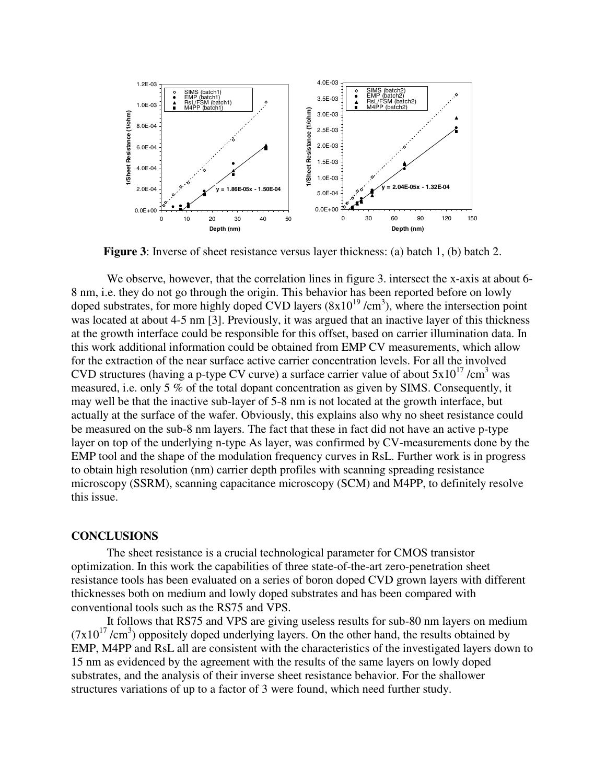

**Figure 3**: Inverse of sheet resistance versus layer thickness: (a) batch 1, (b) batch 2.

We observe, however, that the correlation lines in figure 3, intersect the x-axis at about 6-8 nm, i.e. they do not go through the origin. This behavior has been reported before on lowly doped substrates, for more highly doped CVD layers  $(8x10^{19}/cm^3)$ , where the intersection point was located at about 4-5 nm [3]. Previously, it was argued that an inactive layer of this thickness at the growth interface could be responsible for this offset, based on carrier illumination data. In this work additional information could be obtained from EMP CV measurements, which allow for the extraction of the near surface active carrier concentration levels. For all the involved CVD structures (having a p-type CV curve) a surface carrier value of about  $5x10^{17}$  /cm<sup>3</sup> was measured, i.e. only 5 % of the total dopant concentration as given by SIMS. Consequently, it may well be that the inactive sub-layer of 5-8 nm is not located at the growth interface, but actually at the surface of the wafer. Obviously, this explains also why no sheet resistance could be measured on the sub-8 nm layers. The fact that these in fact did not have an active p-type layer on top of the underlying n-type As layer, was confirmed by CV-measurements done by the EMP tool and the shape of the modulation frequency curves in RsL. Further work is in progress to obtain high resolution (nm) carrier depth profiles with scanning spreading resistance microscopy (SSRM), scanning capacitance microscopy (SCM) and M4PP, to definitely resolve this issue.

#### **CONCLUSIONS**

The sheet resistance is a crucial technological parameter for CMOS transistor optimization. In this work the capabilities of three state-of-the-art zero-penetration sheet resistance tools has been evaluated on a series of boron doped CVD grown layers with different thicknesses both on medium and lowly doped substrates and has been compared with conventional tools such as the RS75 and VPS.

 It follows that RS75 and VPS are giving useless results for sub-80 nm layers on medium  $(7x10^{17}/cm^3)$  oppositely doped underlying layers. On the other hand, the results obtained by EMP, M4PP and RsL all are consistent with the characteristics of the investigated layers down to 15 nm as evidenced by the agreement with the results of the same layers on lowly doped substrates, and the analysis of their inverse sheet resistance behavior. For the shallower structures variations of up to a factor of 3 were found, which need further study.